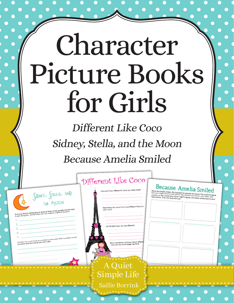# Character Picture Books for Girls

Different Like Coco Sidney, Stella, and the Moon Because Amelia Smiled

|                                                                                                                                                                             | Different Like Coco<br>How was Coco different in ways you really liked?                                             | <b>Because Amelia Smiled</b><br>Because Amelia smiled. Ife changed for people all around the world! Imagine<br>have you might sond a smile all the way around your hame, your lown, your<br>country, or the world! Draw what might happen and label where each event |
|-----------------------------------------------------------------------------------------------------------------------------------------------------------------------------|---------------------------------------------------------------------------------------------------------------------|----------------------------------------------------------------------------------------------------------------------------------------------------------------------------------------------------------------------------------------------------------------------|
| SIDNEY, STELLO, OND<br>Everyone finds it challenging to share at times. Some people can be hard<br>to get along with. List five ways you can improve a difficult situation. | Were there any ways Coco was different that you<br>didn't like?                                                     |                                                                                                                                                                                                                                                                      |
| Imagine you could solve any problem in the world. Which problem would<br>you solve and who would you work with?                                                             | List the best ways you are different.<br>Who is someone you know who is different<br>How can you encourage her/him? |                                                                                                                                                                                                                                                                      |
| .                                                                                                                                                                           | A Quiet                                                                                                             |                                                                                                                                                                                                                                                                      |
|                                                                                                                                                                             | Simple Life<br><b>Sallie Borrink</b>                                                                                |                                                                                                                                                                                                                                                                      |
|                                                                                                                                                                             |                                                                                                                     |                                                                                                                                                                                                                                                                      |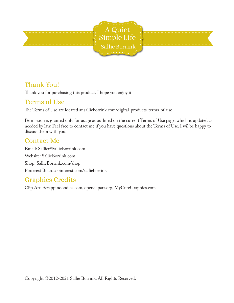

### Thank You!

Thank you for purchasing this product. I hope you enjoy it!

### Terms of Use

The Terms of Use are located at sallieborrink.com/digital-products-terms-of-use

Permission is granted only for usage as outlined on the current Terms of Use page, which is updated as needed by law. Feel free to contact me if you have questions about the Terms of Use. I wil be happy to discuss them with you.

### Contact Me

Email: Sallie@SallieBorrink.com Website: SallieBorrink.com Shop: SallieBorrink.com/shop Pinterest Boards: pinterest.com/sallieborrink

### Graphics Credits

Clip Art: Scrappindoodles.com, openclipart.org, MyCuteGraphics.com

Copyright ©2012-2021 Sallie Borrink. All Rights Reserved.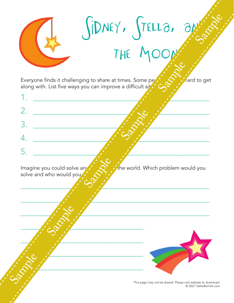

Everyone finds it challenging to share at times. Some people can be hard to get along with. List five ways you can improve a difficult site

 $1.$ 2. \_\_\_\_\_\_\_\_\_\_\_\_\_\_\_\_\_\_\_\_\_\_\_\_\_\_\_\_\_\_\_\_\_\_\_\_\_\_\_\_\_\_ 3. \_\_\_\_\_\_\_\_\_\_\_\_\_\_\_\_\_\_\_\_\_\_\_\_\_\_\_\_\_\_\_\_\_\_\_\_\_\_\_\_\_\_ 4. \_\_\_\_\_\_\_\_\_\_\_\_\_\_\_\_\_\_\_\_\_\_\_\_\_\_\_\_\_\_\_\_\_\_\_\_\_\_\_\_\_\_ 5. \_\_\_\_\_\_\_\_\_\_\_\_\_\_\_\_\_\_\_\_\_\_\_\_\_\_\_\_\_\_\_\_\_\_\_\_\_\_\_\_\_\_

 $\frac{1}{2}$  ,  $\frac{1}{2}$  ,  $\frac{1}{2}$  ,  $\frac{1}{2}$  ,  $\frac{1}{2}$  ,  $\frac{1}{2}$  ,  $\frac{1}{2}$  ,  $\frac{1}{2}$  ,  $\frac{1}{2}$  ,  $\frac{1}{2}$  ,  $\frac{1}{2}$  ,  $\frac{1}{2}$  ,  $\frac{1}{2}$  ,  $\frac{1}{2}$  ,  $\frac{1}{2}$  ,  $\frac{1}{2}$  ,  $\frac{1}{2}$  ,  $\frac{1}{2}$  ,  $\frac{1$ 

 $\frac{1}{2}$  ,  $\frac{1}{2}$  ,  $\frac{1}{2}$  ,  $\frac{1}{2}$  ,  $\frac{1}{2}$  ,  $\frac{1}{2}$  ,  $\frac{1}{2}$  ,  $\frac{1}{2}$  ,  $\frac{1}{2}$  ,  $\frac{1}{2}$  ,  $\frac{1}{2}$  ,  $\frac{1}{2}$  ,  $\frac{1}{2}$  ,  $\frac{1}{2}$  ,  $\frac{1}{2}$  ,  $\frac{1}{2}$  ,  $\frac{1}{2}$  ,  $\frac{1}{2}$  ,  $\frac{1$ 

 $\frac{1}{2}$  ,  $\frac{1}{2}$  ,  $\frac{1}{2}$  ,  $\frac{1}{2}$  ,  $\frac{1}{2}$  ,  $\frac{1}{2}$  ,  $\frac{1}{2}$  ,  $\frac{1}{2}$  ,  $\frac{1}{2}$  ,  $\frac{1}{2}$  ,  $\frac{1}{2}$  ,  $\frac{1}{2}$  ,  $\frac{1}{2}$  ,  $\frac{1}{2}$  ,  $\frac{1}{2}$  ,  $\frac{1}{2}$  ,  $\frac{1}{2}$  ,  $\frac{1}{2}$  ,  $\frac{1$ 

Imagine you could solve any  $\mathcal{O}$  is the world. Which problem would you solve and who would you



This page may not be shared. Please visit website to download. © 2021 SallieBorrink.com

Sallie Borrink included this text as a safety precaution.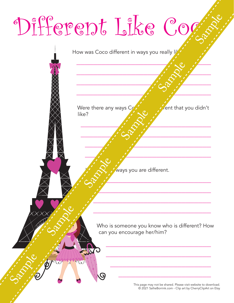# Different Like Coc Different Like Cogne<br>
Sample Sample Sample Sample Sample Sample Sample Sample Sample Sample Sample Sample Sample Sample Sample Sample Sample Sample Sample Sample Sample Sample Sample Sample Sample Sample Sample Sample Samp

How was Coco different in ways you really lib

 $\mathcal{L}_{\mathcal{S}}$ 

 $\frac{1}{2}$  ,  $\frac{1}{2}$  ,  $\frac{1}{2}$ 

 $\mathcal{L} \sim \mathcal{N}$ 

 $\frac{1}{2}$ 

 $\mathcal{L}^{\prime}$  ,  $\mathcal{O}^{\chi}$  ,  $\mathcal{L}$  , and the set of  $\mathcal{L}$ 

 $\frac{1}{2}$  ,  $\frac{1}{2}$  ,  $\frac{1}{2}$  ,  $\frac{1}{2}$ 

 $\frac{1}{2}$  ,  $\frac{1}{2}$  ,  $\frac{1}{2}$  ,  $\frac{1}{2}$  ,  $\frac{1}{2}$  ,  $\frac{1}{2}$  ,  $\frac{1}{2}$  ,  $\frac{1}{2}$  ,  $\frac{1}{2}$  ,  $\frac{1}{2}$  ,  $\frac{1}{2}$  ,  $\frac{1}{2}$  ,  $\frac{1}{2}$  ,  $\frac{1}{2}$  ,  $\frac{1}{2}$  ,  $\frac{1}{2}$  ,  $\frac{1}{2}$  ,  $\frac{1}{2}$  ,  $\frac{1$ 

 $\frac{1}{2}$  ,  $\frac{1}{2}$  ,  $\frac{1}{2}$  ,  $\frac{1}{2}$  ,  $\frac{1}{2}$  ,  $\frac{1}{2}$  ,  $\frac{1}{2}$  ,  $\frac{1}{2}$  ,  $\frac{1}{2}$  ,  $\frac{1}{2}$  ,  $\frac{1}{2}$  ,  $\frac{1}{2}$  ,  $\frac{1}{2}$  ,  $\frac{1}{2}$  ,  $\frac{1}{2}$  ,  $\frac{1}{2}$  ,  $\frac{1}{2}$  ,  $\frac{1}{2}$  ,  $\frac{1$ 

 $\frac{1}{2}$   $\frac{1}{2}$   $\frac{1}{2}$   $\frac{1}{2}$   $\frac{1}{2}$   $\frac{1}{2}$   $\frac{1}{2}$   $\frac{1}{2}$   $\frac{1}{2}$   $\frac{1}{2}$   $\frac{1}{2}$   $\frac{1}{2}$   $\frac{1}{2}$   $\frac{1}{2}$   $\frac{1}{2}$   $\frac{1}{2}$   $\frac{1}{2}$   $\frac{1}{2}$   $\frac{1}{2}$   $\frac{1}{2}$   $\frac{1}{2}$   $\frac{1}{2}$ 

 $\frac{1}{2}$ 

 $\mathcal{L}=\mathcal{L}^{\text{max}}$  , we can assume that the contract of  $\mathcal{L}^{\text{max}}$ 

 $\frac{1}{2}$  ,  $\frac{1}{2}$  ,  $\frac{1}{2}$  ,  $\frac{1}{2}$  ,  $\frac{1}{2}$  ,  $\frac{1}{2}$  ,  $\frac{1}{2}$  ,  $\frac{1}{2}$  ,  $\frac{1}{2}$  ,  $\frac{1}{2}$  ,  $\frac{1}{2}$  ,  $\frac{1}{2}$  ,  $\frac{1}{2}$  ,  $\frac{1}{2}$  ,  $\frac{1}{2}$  ,  $\frac{1}{2}$  ,  $\frac{1}{2}$  ,  $\frac{1}{2}$  ,  $\frac{1$ 

Were there any ways  $C_{\ell}$  was different that you didn't like?

Sallie Borrink included this text as a safety precaution.

ways you are different.

Who is someone you know who is different? How can you encourage her/him?

 $\mathcal{L}_\text{max}$  and  $\mathcal{L}_\text{max}$  and  $\mathcal{L}_\text{max}$  and  $\mathcal{L}_\text{max}$ 

 $\mathcal{L}_\text{max}$  and  $\mathcal{L}_\text{max}$  and  $\mathcal{L}_\text{max}$  and  $\mathcal{L}_\text{max}$ 

 $\frac{1}{2}$  , where  $\frac{1}{2}$  , where  $\frac{1}{2}$  , where  $\frac{1}{2}$ 

This page may not be shared. Please visit website to download. © 2021 SallieBorrink.com - Clip art by CherryClipArt on Etsy